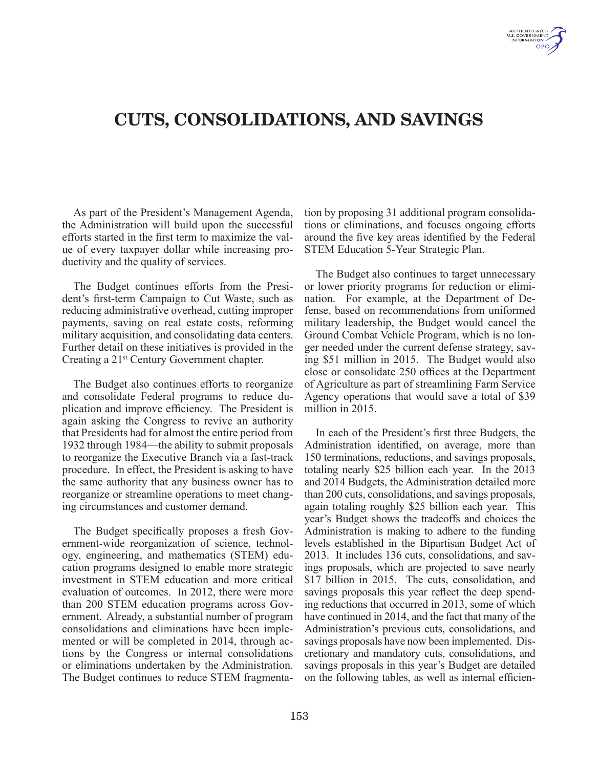# CUTS, CONSOLIDATIONS, AND SAVINGS

As part of the President's Management Agenda, the Administration will build upon the successful efforts started in the first term to maximize the value of every taxpayer dollar while increasing productivity and the quality of services.

The Budget continues efforts from the President's first-term Campaign to Cut Waste, such as reducing administrative overhead, cutting improper payments, saving on real estate costs, reforming military acquisition, and consolidating data centers. Further detail on these initiatives is provided in the Creating a 21st Century Government chapter.

The Budget also continues efforts to reorganize and consolidate Federal programs to reduce duplication and improve efficiency. The President is again asking the Congress to revive an authority that Presidents had for almost the entire period from 1932 through 1984—the ability to submit proposals to reorganize the Executive Branch via a fast-track procedure. In effect, the President is asking to have the same authority that any business owner has to reorganize or streamline operations to meet changing circumstances and customer demand.

The Budget specifically proposes a fresh Government-wide reorganization of science, technology, engineering, and mathematics (STEM) education programs designed to enable more strategic investment in STEM education and more critical evaluation of outcomes. In 2012, there were more than 200 STEM education programs across Government. Already, a substantial number of program consolidations and eliminations have been implemented or will be completed in 2014, through actions by the Congress or internal consolidations or eliminations undertaken by the Administration. The Budget continues to reduce STEM fragmentation by proposing 31 additional program consolidations or eliminations, and focuses ongoing efforts around the five key areas identified by the Federal STEM Education 5-Year Strategic Plan.

The Budget also continues to target unnecessary or lower priority programs for reduction or elimination. For example, at the Department of Defense, based on recommendations from uniformed military leadership, the Budget would cancel the Ground Combat Vehicle Program, which is no longer needed under the current defense strategy, saving \$51 million in 2015. The Budget would also close or consolidate 250 offices at the Department of Agriculture as part of streamlining Farm Service Agency operations that would save a total of \$39 million in 2015.

In each of the President's first three Budgets, the Administration identified, on average, more than 150 terminations, reductions, and savings proposals, totaling nearly \$25 billion each year. In the 2013 and 2014 Budgets, the Administration detailed more than 200 cuts, consolidations, and savings proposals, again totaling roughly \$25 billion each year. This year's Budget shows the tradeoffs and choices the Administration is making to adhere to the funding levels established in the Bipartisan Budget Act of 2013. It includes 136 cuts, consolidations, and savings proposals, which are projected to save nearly \$17 billion in 2015. The cuts, consolidation, and savings proposals this year reflect the deep spending reductions that occurred in 2013, some of which have continued in 2014, and the fact that many of the Administration's previous cuts, consolidations, and savings proposals have now been implemented. Discretionary and mandatory cuts, consolidations, and savings proposals in this year's Budget are detailed on the following tables, as well as internal efficien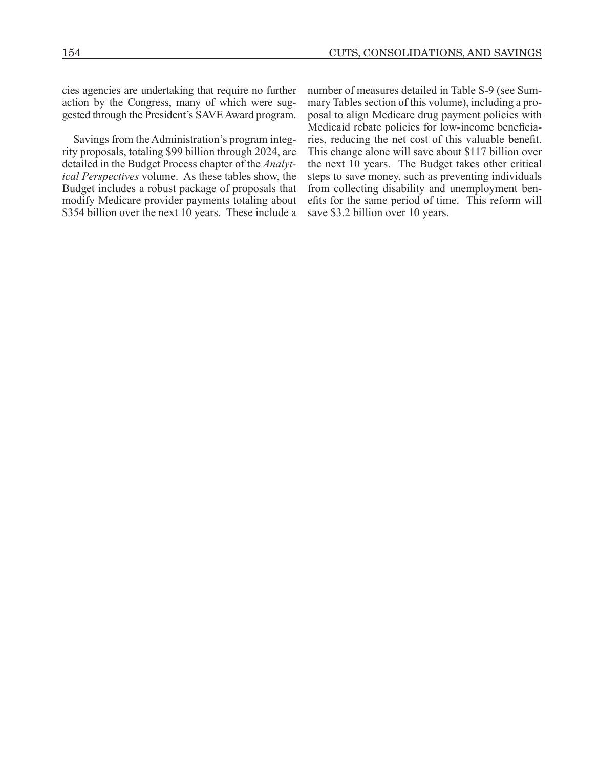cies agencies are undertaking that require no further action by the Congress, many of which were suggested through the President's SAVE Award program.

Savings from the Administration's program integrity proposals, totaling \$99 billion through 2024, are detailed in the Budget Process chapter of the *Analytical Perspectives* volume. As these tables show, the Budget includes a robust package of proposals that modify Medicare provider payments totaling about \$354 billion over the next 10 years. These include a

number of measures detailed in Table S-9 (see Summary Tables section of this volume), including a proposal to align Medicare drug payment policies with Medicaid rebate policies for low-income beneficiaries, reducing the net cost of this valuable benefit. This change alone will save about \$117 billion over the next 10 years. The Budget takes other critical steps to save money, such as preventing individuals from collecting disability and unemployment benefits for the same period of time. This reform will save \$3.2 billion over 10 years.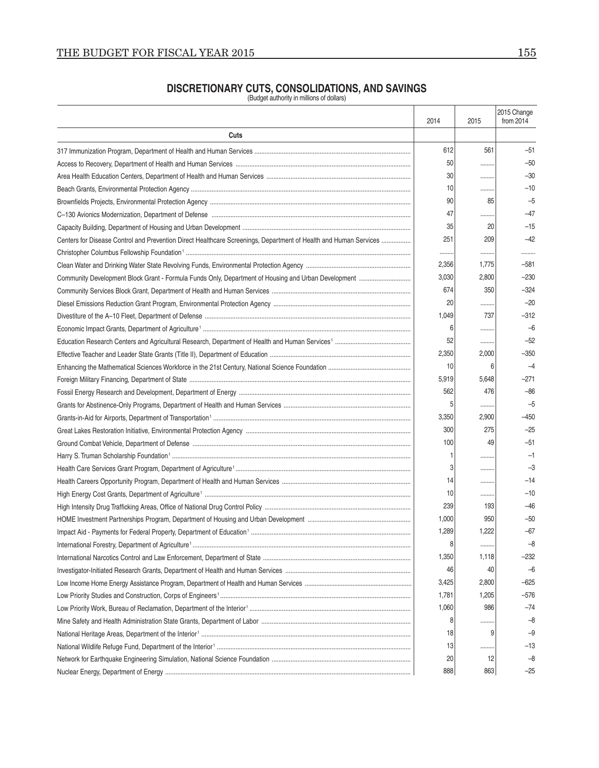### **DISCRETIONARY CUTS, CONSOLIDATIONS, AND SAVINGS**

(Budget authority in millions of dollars)

|                                                                                                                  | 2014  | 2015  | 2015 Change<br>from 2014 |
|------------------------------------------------------------------------------------------------------------------|-------|-------|--------------------------|
| Cuts                                                                                                             |       |       |                          |
|                                                                                                                  | 612   | 561   | $-51$                    |
|                                                                                                                  | 50    |       | $-50$                    |
|                                                                                                                  | 30    |       | $-30$                    |
|                                                                                                                  | 10    |       | $-10$                    |
|                                                                                                                  | 90    | 85    | $-5$                     |
|                                                                                                                  | 47    |       | $-47$                    |
|                                                                                                                  | 35    | 20    | $-15$                    |
| Centers for Disease Control and Prevention Direct Healthcare Screenings, Department of Health and Human Services | 251   | 209   | $-42$                    |
|                                                                                                                  |       |       |                          |
|                                                                                                                  | 2,356 | 1,775 | $-581$                   |
| Community Development Block Grant - Formula Funds Only, Department of Housing and Urban Development              | 3,030 | 2,800 | $-230$                   |
|                                                                                                                  | 674   | 350   | $-324$                   |
|                                                                                                                  | 20    |       | $-20$                    |
|                                                                                                                  | 1,049 | 737   | $-312$                   |
|                                                                                                                  | 6     |       | $-6$                     |
|                                                                                                                  | 52    |       | $-52$                    |
|                                                                                                                  | 2,350 | 2,000 | $-350$                   |
|                                                                                                                  | 10    | 6     | $-4$                     |
|                                                                                                                  | 5,919 | 5,648 | $-271$                   |
|                                                                                                                  | 562   | 476   | $-86$                    |
|                                                                                                                  | 5     |       | $-5$                     |
|                                                                                                                  | 3,350 | 2,900 | $-450$                   |
|                                                                                                                  | 300   | 275   | $-25$                    |
|                                                                                                                  | 100   | 49    | $-51$                    |
|                                                                                                                  |       |       | $-1$                     |
|                                                                                                                  |       |       | $-3$                     |
|                                                                                                                  | 14    |       | $-14$                    |
|                                                                                                                  | 10    |       | $-10$                    |
|                                                                                                                  | 239   | 193   | -46                      |
|                                                                                                                  | 1,000 | 950   | $-50$                    |
|                                                                                                                  | 1,289 | 1,222 | -67                      |
|                                                                                                                  | 8     |       | -8                       |
|                                                                                                                  | 1,350 | 1,118 | –232                     |
|                                                                                                                  | 46    | 40    | $-6$                     |
|                                                                                                                  | 3,425 | 2,800 | -625                     |
|                                                                                                                  | 1,781 | 1,205 | $-576$                   |
|                                                                                                                  | 1,060 | 986   | $-74$                    |
|                                                                                                                  | 8     |       | $-8$                     |
|                                                                                                                  | 18    | 9     | $-9$                     |
|                                                                                                                  | 13    |       | $-13$                    |
|                                                                                                                  | 20    | 12    | -8                       |
|                                                                                                                  | 888   | 863   | $-25$                    |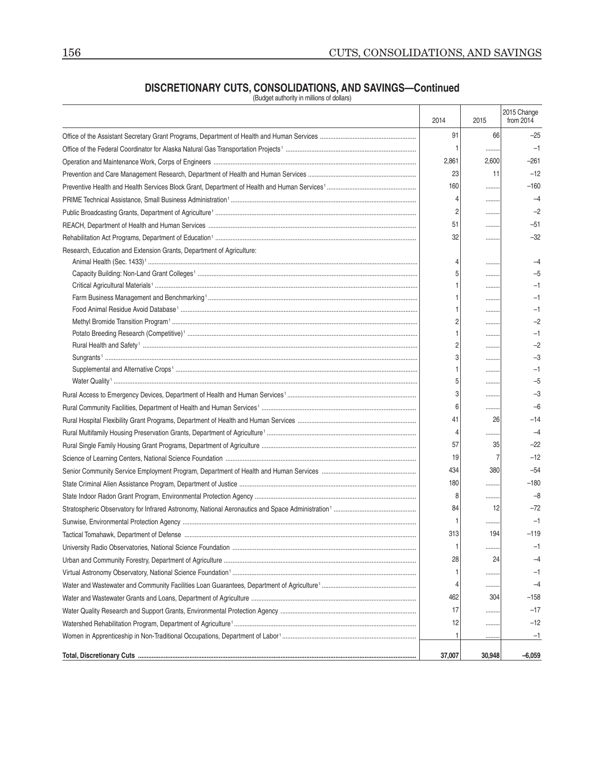### **DISCRETIONARY CUTS, CONSOLIDATIONS, AND SAVINGS—Continued**

(Budget authority in millions of dollars)

|                                                                      | 2014   | 2015   | 2015 Change<br>from 2014 |
|----------------------------------------------------------------------|--------|--------|--------------------------|
|                                                                      | 91     | 66     | $-25$                    |
|                                                                      |        |        | $-1$                     |
|                                                                      | 2,861  | 2,600  | $-261$                   |
|                                                                      | 23     | 11     | $-12$                    |
|                                                                      | 160    |        | $-160$                   |
|                                                                      | 4      |        | $-4$                     |
|                                                                      | 2      |        | $-2$                     |
|                                                                      | 51     |        | $-51$                    |
|                                                                      | 32     |        | $-32$                    |
| Research, Education and Extension Grants, Department of Agriculture: | 4      |        |                          |
|                                                                      | 5      |        | $-5$                     |
|                                                                      |        | <br>   |                          |
|                                                                      |        |        | -1                       |
|                                                                      |        |        | -1                       |
|                                                                      | 2      |        | -2                       |
|                                                                      |        |        |                          |
|                                                                      | 2      |        | $-2$                     |
|                                                                      | 3      |        | $-3$                     |
|                                                                      |        |        | -1                       |
|                                                                      | 5      |        | -5                       |
|                                                                      | 3      |        | $-3$                     |
|                                                                      | 6      |        | $-6$                     |
|                                                                      | 41     | 26     | $-14$                    |
|                                                                      | 4      |        | $-4$                     |
|                                                                      | 57     | 35     | $-22$                    |
|                                                                      | 19     |        | $-12$                    |
|                                                                      | 434    | 380    | $-54$                    |
|                                                                      | 180    |        | $-180$                   |
|                                                                      | 8      |        | $-8$                     |
|                                                                      | 84     | 12     | $-72$                    |
|                                                                      |        |        | $-1$                     |
|                                                                      | 313    | 194    | -119                     |
|                                                                      |        |        | $-1$                     |
|                                                                      | 28     | 24     | -4                       |
|                                                                      |        |        | $-1$                     |
|                                                                      | 4      |        | -4                       |
|                                                                      | 462    | 304    | $-158$                   |
|                                                                      | 17     |        | $-17$                    |
|                                                                      | 12     |        | $-12$                    |
|                                                                      | 1      |        | $-1$                     |
|                                                                      | 37,007 | 30,948 | $-6,059$                 |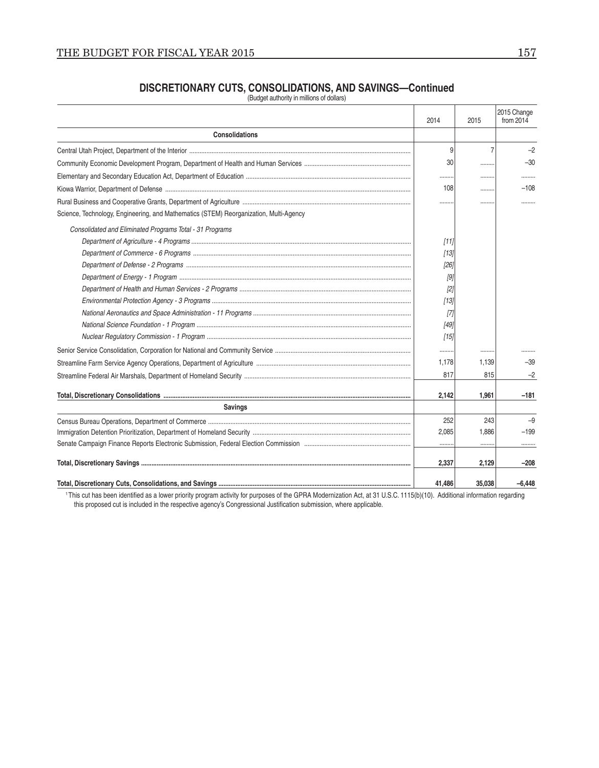# **DISCRETIONARY CUTS, CONSOLIDATIONS, AND SAVINGS—Continued**<br>(Budget authority in millions of dollars)

|                                                                                       | 2014   | 2015           | 2015 Change<br>from $2014$ |
|---------------------------------------------------------------------------------------|--------|----------------|----------------------------|
| <b>Consolidations</b>                                                                 |        |                |                            |
|                                                                                       | 9      | $\overline{7}$ | $-2$                       |
|                                                                                       | 30     |                | $-30$                      |
|                                                                                       |        |                |                            |
|                                                                                       | 108    |                | $-108$                     |
|                                                                                       |        |                |                            |
| Science, Technology, Engineering, and Mathematics (STEM) Reorganization, Multi-Agency |        |                |                            |
| Consolidated and Eliminated Programs Total - 31 Programs                              |        |                |                            |
|                                                                                       | $[11]$ |                |                            |
|                                                                                       | [13]   |                |                            |
|                                                                                       | $[26]$ |                |                            |
|                                                                                       | [9]    |                |                            |
|                                                                                       | $[2]$  |                |                            |
|                                                                                       | $[13]$ |                |                            |
|                                                                                       | $[7]$  |                |                            |
|                                                                                       | $[49]$ |                |                            |
|                                                                                       | [15]   |                |                            |
|                                                                                       |        |                |                            |
|                                                                                       | 1.178  | 1.139          | $-39$                      |
|                                                                                       | 817    | 815            | $-2$                       |
|                                                                                       | 2,142  | 1,961          | $-181$                     |
| <b>Savings</b>                                                                        |        |                |                            |
|                                                                                       | 252    | 243            | $-9$                       |
|                                                                                       | 2,085  | 1.886          | $-199$                     |
|                                                                                       |        |                |                            |
|                                                                                       | 2,337  | 2,129          | $-208$                     |
|                                                                                       | 41.486 | 35,038         | $-6.448$                   |

<sup>1</sup>This cut has been identified as a lower priority program activity for purposes of the GPRA Modernization Act, at 31 U.S.C. 1115(b)(10). Additional information regarding this proposed cut is included in the respective ag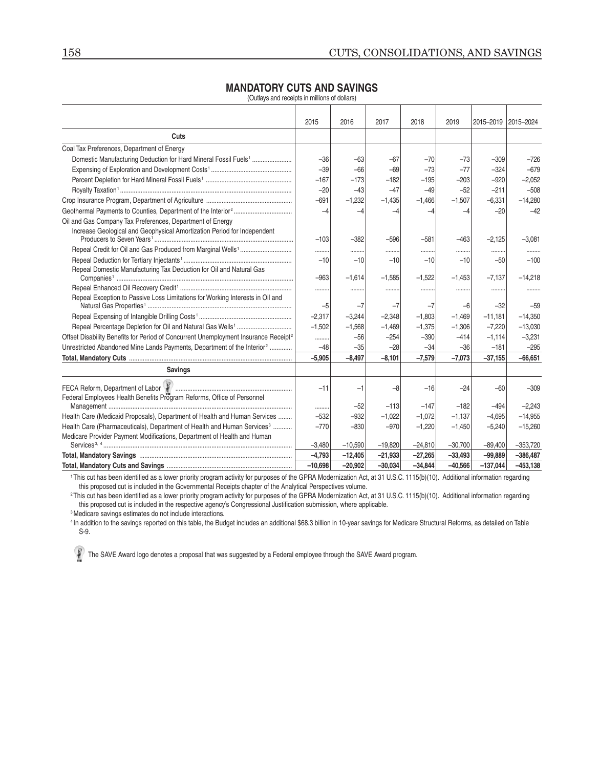### **MANDATORY CUTS AND SAVINGS**

(Outlays and receipts in millions of dollars)

|                                                                                                 | 2015      | 2016      | 2017      | 2018      | 2019      | 2015-2019  | 2015-2024   |
|-------------------------------------------------------------------------------------------------|-----------|-----------|-----------|-----------|-----------|------------|-------------|
| Cuts                                                                                            |           |           |           |           |           |            |             |
| Coal Tax Preferences, Department of Energy                                                      |           |           |           |           |           |            |             |
| Domestic Manufacturing Deduction for Hard Mineral Fossil Fuels <sup>1</sup>                     | $-36$     | $-63$     | $-67$     | $-70$     | $-73$     | $-309$     | $-726$      |
|                                                                                                 | $-39$     | $-66$     | $-69$     | $-73$     | $-77$     | $-324$     | $-679$      |
|                                                                                                 | $-167$    | $-173$    | $-182$    | $-195$    | $-203$    | $-920$     | $-2,052$    |
|                                                                                                 | $-20$     | $-43$     | $-47$     | $-49$     | $-52$     | $-211$     | $-508$      |
|                                                                                                 | $-691$    | $-1.232$  | $-1,435$  | $-1.466$  | $-1,507$  | $-6,331$   | $-14,280$   |
|                                                                                                 | $-4$      | $-4$      | $-4$      | $-4$      | $-4$      | $-20$      | $-42$       |
| Oil and Gas Company Tax Preferences, Department of Energy                                       |           |           |           |           |           |            |             |
| Increase Geological and Geophysical Amortization Period for Independent                         |           |           |           |           |           |            |             |
|                                                                                                 | $-103$    | $-382$    | $-596$    | $-581$    | $-463$    | $-2,125$   | $-3,081$    |
|                                                                                                 | .         | .         |           |           |           |            |             |
|                                                                                                 | $-10$     | $-10$     | $-10$     | $-10$     | $-10$     | $-50$      | $-100$      |
| Repeal Domestic Manufacturing Tax Deduction for Oil and Natural Gas                             | $-963$    | $-1,614$  | $-1,585$  | $-1,522$  | $-1,453$  | $-7,137$   | $-14,218$   |
|                                                                                                 |           |           |           |           |           |            |             |
| Repeal Exception to Passive Loss Limitations for Working Interests in Oil and                   |           |           |           |           |           |            |             |
|                                                                                                 | $-5$      | $-7$      | $-7$      | $-7$      | $-6$      | $-32$      | $-59$       |
|                                                                                                 | $-2,317$  | $-3.244$  | $-2,348$  | $-1.803$  | $-1,469$  | $-11,181$  | $-14,350$   |
|                                                                                                 | $-1,502$  | $-1,568$  | $-1,469$  | $-1,375$  | $-1,306$  | $-7,220$   | $-13,030$   |
| Offset Disability Benefits for Period of Concurrent Unemployment Insurance Receipt <sup>2</sup> |           | $-56$     | $-254$    | $-390$    | $-414$    | $-1.114$   | $-3,231$    |
| Unrestricted Abandoned Mine Lands Payments, Department of the Interior <sup>2</sup>             | $-48$     | $-35$     | $-28$     | $-34$     | $-36$     | $-181$     | $-295$      |
|                                                                                                 | $-5.905$  | $-8.497$  | $-8,101$  | $-7,579$  | $-7.073$  | $-37,155$  | $-66.651$   |
| <b>Savings</b>                                                                                  |           |           |           |           |           |            |             |
| Federal Employees Health Benefits Program Reforms, Office of Personnel                          | $-11$     | $-1$      | $-8$      | $-16$     | $-24$     | $-60$      | $-309$      |
|                                                                                                 |           | $-52$     | $-113$    | $-147$    | $-182$    | $-494$     | $-2,243$    |
| Health Care (Medicaid Proposals), Department of Health and Human Services                       | $-532$    | $-932$    | $-1,022$  | $-1,072$  | $-1,137$  | $-4,695$   | $-14,955$   |
| Health Care (Pharmaceuticals), Department of Health and Human Services <sup>3</sup>             | $-770$    | $-830$    | $-970$    | $-1,220$  | $-1,450$  | $-5,240$   | $-15,260$   |
| Medicare Provider Payment Modifications, Department of Health and Human                         |           |           |           |           |           |            |             |
|                                                                                                 | $-3,480$  | $-10,590$ | $-19,820$ | $-24,810$ | $-30,700$ | $-89,400$  | $-353,720$  |
|                                                                                                 | $-4,793$  | $-12,405$ | $-21,933$ | $-27,265$ | $-33,493$ | $-99,889$  | $-386,487$  |
|                                                                                                 | $-10.698$ | $-20.902$ | $-30.034$ | $-34.844$ | $-40.566$ | $-137.044$ | $-453, 138$ |

1 This cut has been identified as a lower priority program activity for purposes of the GPRA Modernization Act, at 31 U.S.C. 1115(b)(10). Additional information regarding this proposed cut is included in the Governmental Receipts chapter of the Analytical Perspectives volume.

<sup>2</sup>This cut has been identified as a lower priority program activity for purposes of the GPRA Modernization Act, at 31 U.S.C. 1115(b)(10). Additional information regarding this proposed cut is included in the respective agency's Congressional Justification submission, where applicable.

3 Medicare savings estimates do not include interactions.

4 In addition to the savings reported on this table, the Budget includes an additional \$68.3 billion in 10-year savings for Medicare Structural Reforms, as detailed on Table S-9.

The SAVE Award logo denotes a proposal that was suggested by a Federal employee through the SAVE Award program.